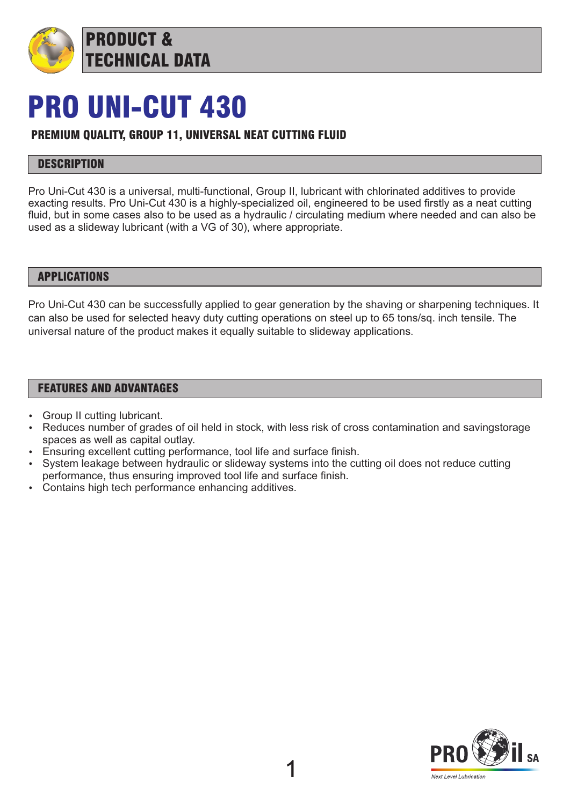

## PRO UNI-CUT 430

## PREMIUM QUALITY, GROUP 11, UNIVERSAL NEAT CUTTING FLUID

### **DESCRIPTION**

Pro Uni-Cut 430 is a universal, multi-functional, Group II, lubricant with chlorinated additives to provide exacting results. Pro Uni-Cut 430 is a highly-specialized oil, engineered to be used firstly as a neat cutting fluid, but in some cases also to be used as a hydraulic / circulating medium where needed and can also be used as a slideway lubricant (with a VG of 30), where appropriate.

#### APPLICATIONS

Pro Uni-Cut 430 can be successfully applied to gear generation by the shaving or sharpening techniques. It can also be used for selected heavy duty cutting operations on steel up to 65 tons/sq. inch tensile. The universal nature of the product makes it equally suitable to slideway applications.

#### FEATURES AND ADVANTAGES

- Group II cutting lubricant.
- Reduces number of grades of oil held in stock, with less risk of cross contamination and savingstorage spaces as well as capital outlay.
- Ensuring excellent cutting performance, tool life and surface finish.
- System leakage between hydraulic or slideway systems into the cutting oil does not reduce cutting performance, thus ensuring improved tool life and surface finish.
- Contains high tech performance enhancing additives.